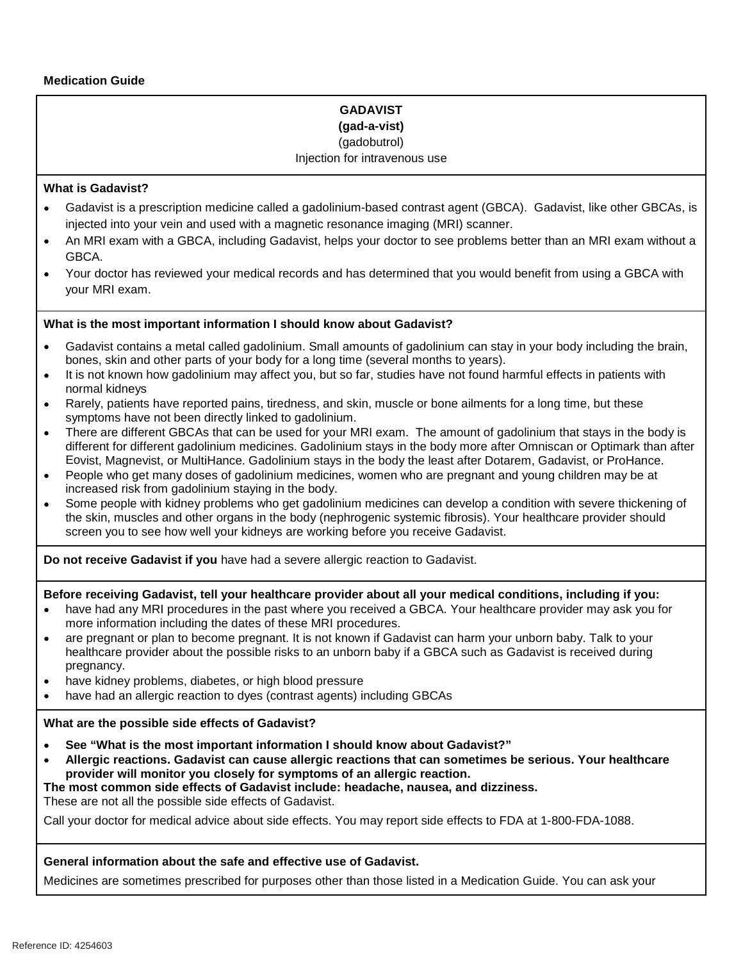# **GADAVIST (gad-a-vist)**

#### (gadobutrol)

### Injection for intravenous use

### **What is Gadavist?**

- Gadavist is a prescription medicine called a gadolinium-based contrast agent (GBCA). Gadavist, like other GBCAs, is injected into your vein and used with a magnetic resonance imaging (MRI) scanner.
- An MRI exam with a GBCA, including Gadavist, helps your doctor to see problems better than an MRI exam without a GBCA.
- Your doctor has reviewed your medical records and has determined that you would benefit from using a GBCA with  $\bullet$ your MRI exam.

### **What is the most important information I should know about Gadavist?**

- Gadavist contains a metal called gadolinium. Small amounts of gadolinium can stay in your body including the brain, bones, skin and other parts of your body for a long time (several months to years).
- It is not known how gadolinium may affect you, but so far, studies have not found harmful effects in patients with  $\bullet$ normal kidneys
- Rarely, patients have reported pains, tiredness, and skin, muscle or bone ailments for a long time, but these  $\bullet$ symptoms have not been directly linked to gadolinium.
- There are different GBCAs that can be used for your MRI exam. The amount of gadolinium that stays in the body is  $\bullet$ different for different gadolinium medicines. Gadolinium stays in the body more after Omniscan or Optimark than after Eovist, Magnevist, or MultiHance. Gadolinium stays in the body the least after Dotarem, Gadavist, or ProHance.
- People who get many doses of gadolinium medicines, women who are pregnant and young children may be at  $\bullet$ increased risk from gadolinium staying in the body.
- Some people with kidney problems who get gadolinium medicines can develop a condition with severe thickening of  $\bullet$ the skin, muscles and other organs in the body (nephrogenic systemic fibrosis). Your healthcare provider should screen you to see how well your kidneys are working before you receive Gadavist.

**Do not receive Gadavist if you** have had a severe allergic reaction to Gadavist.

### **Before receiving Gadavist, tell your healthcare provider about all your medical conditions, including if you:**

- have had any MRI procedures in the past where you received a GBCA. Your healthcare provider may ask you for  $\bullet$ more information including the dates of these MRI procedures.
- are pregnant or plan to become pregnant. It is not known if Gadavist can harm your unborn baby. Talk to your  $\bullet$ healthcare provider about the possible risks to an unborn baby if a GBCA such as Gadavist is received during pregnancy.
- have kidney problems, diabetes, or high blood pressure
- have had an allergic reaction to dyes (contrast agents) including GBCAs

### **What are the possible side effects of Gadavist?**

- **See "What is the most important information I should know about Gadavist?"**  $\bullet$
- **Allergic reactions. Gadavist can cause allergic reactions that can sometimes be serious. Your healthcare**   $\bullet$ **provider will monitor you closely for symptoms of an allergic reaction.**

**The most common side effects of Gadavist include: headache, nausea, and dizziness.**

These are not all the possible side effects of Gadavist.

Call your doctor for medical advice about side effects. You may report side effects to FDA at 1-800-FDA-1088.

### **General information about the safe and effective use of Gadavist.**

Medicines are sometimes prescribed for purposes other than those listed in a Medication Guide. You can ask your